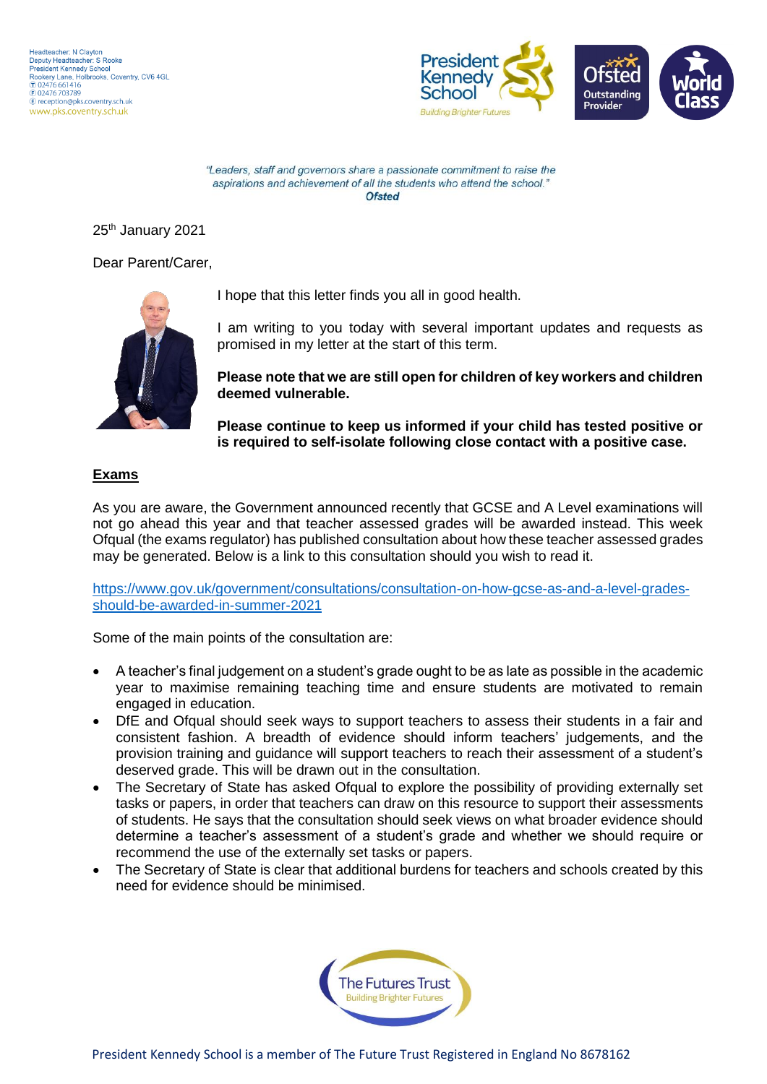

"Leaders, staff and governors share a passionate commitment to raise the aspirations and achievement of all the students who attend the school." Ofsted

25th January 2021

Dear Parent/Carer,



I hope that this letter finds you all in good health.

I am writing to you today with several important updates and requests as promised in my letter at the start of this term.

**Please note that we are still open for children of key workers and children deemed vulnerable.**

**Please continue to keep us informed if your child has tested positive or is required to self-isolate following close contact with a positive case.**

## **Exams**

As you are aware, the Government announced recently that GCSE and A Level examinations will not go ahead this year and that teacher assessed grades will be awarded instead. This week Ofqual (the exams regulator) has published consultation about how these teacher assessed grades may be generated. Below is a link to this consultation should you wish to read it.

[https://www.gov.uk/government/consultations/consultation-on-how-gcse-as-and-a-level-grades](https://www.gov.uk/government/consultations/consultation-on-how-gcse-as-and-a-level-grades-should-be-awarded-in-summer-2021)[should-be-awarded-in-summer-2021](https://www.gov.uk/government/consultations/consultation-on-how-gcse-as-and-a-level-grades-should-be-awarded-in-summer-2021)

Some of the main points of the consultation are:

- A teacher's final judgement on a student's grade ought to be as late as possible in the academic year to maximise remaining teaching time and ensure students are motivated to remain engaged in education.
- DfE and Ofqual should seek ways to support teachers to assess their students in a fair and consistent fashion. A breadth of evidence should inform teachers' judgements, and the provision training and guidance will support teachers to reach their assessment of a student's deserved grade. This will be drawn out in the consultation.
- The Secretary of State has asked Ofqual to explore the possibility of providing externally set tasks or papers, in order that teachers can draw on this resource to support their assessments of students. He says that the consultation should seek views on what broader evidence should determine a teacher's assessment of a student's grade and whether we should require or recommend the use of the externally set tasks or papers.
- The Secretary of State is clear that additional burdens for teachers and schools created by this need for evidence should be minimised.

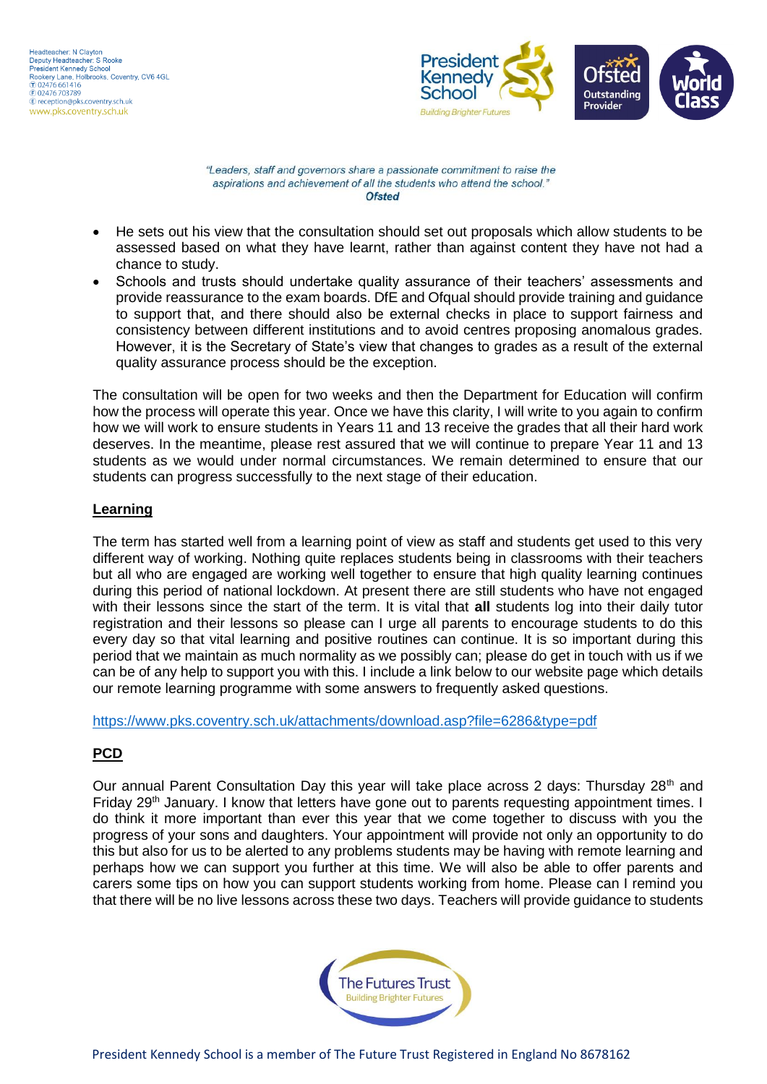Headteacher: N Clayton Deputy Headteacher: S Rooke President Kennedy School Rookery Lane, Holbrooks, Coventry, CV6 4GL  $(7) 02476661416$ © 02476 001410<br>
© 02476 703789<br>
© reception@pks.coventry.sch.uk www.pks.coventry.sch.uk



"Leaders, staff and governors share a passionate commitment to raise the aspirations and achievement of all the students who attend the school." Ofsted

- He sets out his view that the consultation should set out proposals which allow students to be assessed based on what they have learnt, rather than against content they have not had a chance to study.
- Schools and trusts should undertake quality assurance of their teachers' assessments and provide reassurance to the exam boards. DfE and Ofqual should provide training and guidance to support that, and there should also be external checks in place to support fairness and consistency between different institutions and to avoid centres proposing anomalous grades. However, it is the Secretary of State's view that changes to grades as a result of the external quality assurance process should be the exception.

The consultation will be open for two weeks and then the Department for Education will confirm how the process will operate this year. Once we have this clarity, I will write to you again to confirm how we will work to ensure students in Years 11 and 13 receive the grades that all their hard work deserves. In the meantime, please rest assured that we will continue to prepare Year 11 and 13 students as we would under normal circumstances. We remain determined to ensure that our students can progress successfully to the next stage of their education.

## **Learning**

The term has started well from a learning point of view as staff and students get used to this very different way of working. Nothing quite replaces students being in classrooms with their teachers but all who are engaged are working well together to ensure that high quality learning continues during this period of national lockdown. At present there are still students who have not engaged with their lessons since the start of the term. It is vital that **all** students log into their daily tutor registration and their lessons so please can I urge all parents to encourage students to do this every day so that vital learning and positive routines can continue. It is so important during this period that we maintain as much normality as we possibly can; please do get in touch with us if we can be of any help to support you with this. I include a link below to our website page which details our remote learning programme with some answers to frequently asked questions.

<https://www.pks.coventry.sch.uk/attachments/download.asp?file=6286&type=pdf>

## **PCD**

Our annual Parent Consultation Day this year will take place across 2 days: Thursday 28<sup>th</sup> and Friday 29<sup>th</sup> January. I know that letters have gone out to parents requesting appointment times. I do think it more important than ever this year that we come together to discuss with you the progress of your sons and daughters. Your appointment will provide not only an opportunity to do this but also for us to be alerted to any problems students may be having with remote learning and perhaps how we can support you further at this time. We will also be able to offer parents and carers some tips on how you can support students working from home. Please can I remind you that there will be no live lessons across these two days. Teachers will provide guidance to students